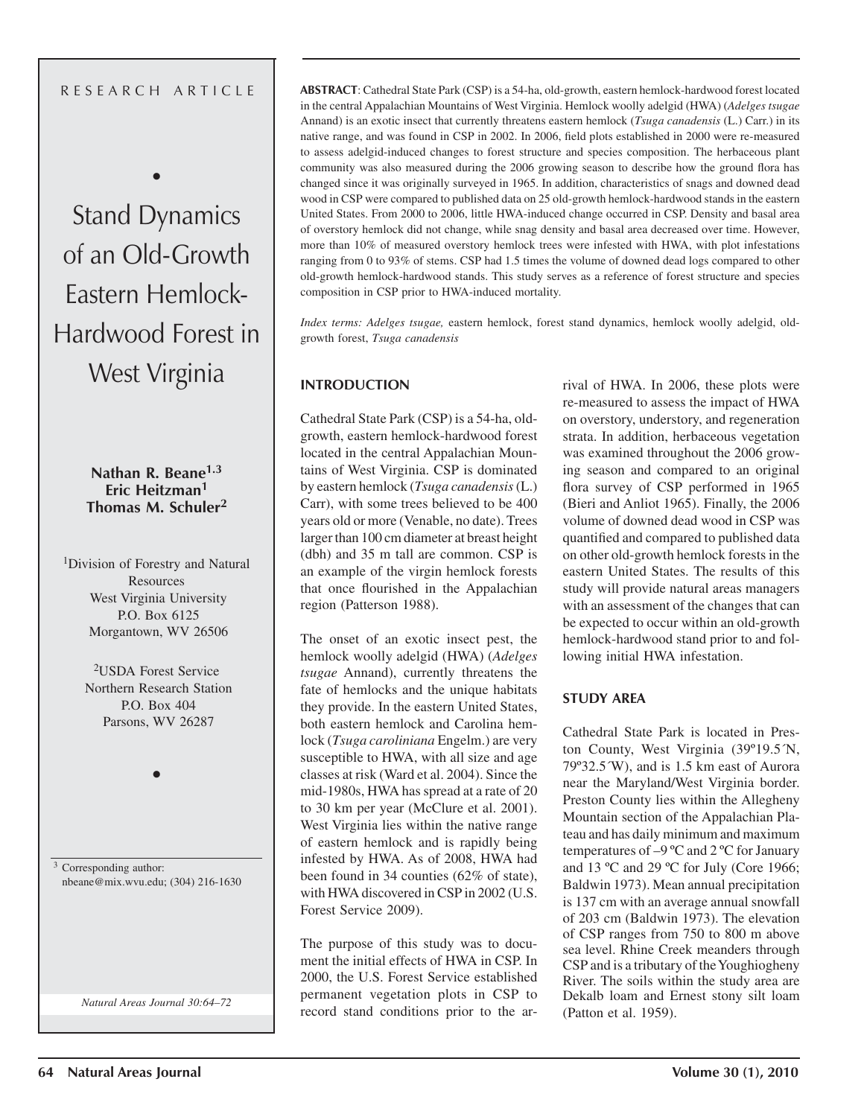# R E S E A R C H A R T I C L E

•

# Stand Dynamics of an Old-Growth Eastern Hemlock-Hardwood Forest in West Virginia

**Nathan R. Beane1.3 Eric Heitzman1 Thomas M. Schuler<sup>2</sup>**

1Division of Forestry and Natural **Resources** West Virginia University P.O. Box 6125 Morgantown, WV 26506

> 2USDA Forest Service Northern Research Station P.O. Box 404 Parsons, WV 26287

> > •

<sup>3</sup> Corresponding author: nbeane@mix.wvu.edu; (304) 216-1630

*Natural Areas Journal 30:64–72*

**ABSTRACT**: Cathedral State Park (CSP) is a 54-ha, old-growth, eastern hemlock-hardwood forest located in the central Appalachian Mountains of West Virginia. Hemlock woolly adelgid (HWA) (*Adelges tsugae*  Annand) is an exotic insect that currently threatens eastern hemlock (*Tsuga canadensis* (L.) Carr.) in its native range, and was found in CSP in 2002. In 2006, field plots established in 2000 were re-measured to assess adelgid-induced changes to forest structure and species composition. The herbaceous plant community was also measured during the 2006 growing season to describe how the ground flora has changed since it was originally surveyed in 1965. In addition, characteristics of snags and downed dead wood in CSP were compared to published data on 25 old-growth hemlock-hardwood stands in the eastern United States. From 2000 to 2006, little HWA-induced change occurred in CSP. Density and basal area of overstory hemlock did not change, while snag density and basal area decreased over time. However, more than 10% of measured overstory hemlock trees were infested with HWA, with plot infestations ranging from 0 to 93% of stems. CSP had 1.5 times the volume of downed dead logs compared to other old-growth hemlock-hardwood stands. This study serves as a reference of forest structure and species composition in CSP prior to HWA-induced mortality.

*Index terms: Adelges tsugae,* eastern hemlock, forest stand dynamics, hemlock woolly adelgid, oldgrowth forest, *Tsuga canadensis*

#### **INTRODUCTION**

Cathedral State Park (CSP) is a 54-ha, oldgrowth, eastern hemlock-hardwood forest located in the central Appalachian Mountains of West Virginia. CSP is dominated by eastern hemlock (*Tsuga canadensis*(L.) Carr), with some trees believed to be 400 years old or more (Venable, no date). Trees larger than 100 cm diameter at breast height (dbh) and 35 m tall are common. CSP is an example of the virgin hemlock forests that once flourished in the Appalachian region (Patterson 1988).

The onset of an exotic insect pest, the hemlock woolly adelgid (HWA) (*Adelges tsugae* Annand), currently threatens the fate of hemlocks and the unique habitats they provide. In the eastern United States, both eastern hemlock and Carolina hemlock (*Tsuga caroliniana* Engelm.) are very susceptible to HWA, with all size and age classes at risk (Ward et al. 2004). Since the mid-1980s, HWA has spread at a rate of 20 to 30 km per year (McClure et al. 2001). West Virginia lies within the native range of eastern hemlock and is rapidly being infested by HWA. As of 2008, HWA had been found in 34 counties (62% of state), with HWA discovered in CSP in 2002 (U.S. Forest Service 2009).

The purpose of this study was to document the initial effects of HWA in CSP. In 2000, the U.S. Forest Service established permanent vegetation plots in CSP to record stand conditions prior to the ar-

rival of HWA. In 2006, these plots were re-measured to assess the impact of HWA on overstory, understory, and regeneration strata. In addition, herbaceous vegetation was examined throughout the 2006 growing season and compared to an original flora survey of CSP performed in 1965 (Bieri and Anliot 1965). Finally, the 2006 volume of downed dead wood in CSP was quantified and compared to published data on other old-growth hemlock forests in the eastern United States. The results of this study will provide natural areas managers with an assessment of the changes that can be expected to occur within an old-growth hemlock-hardwood stand prior to and following initial HWA infestation.

#### **STUDY AREA**

Cathedral State Park is located in Preston County, West Virginia (39º19.5´N, 79º32.5´W), and is 1.5 km east of Aurora near the Maryland/West Virginia border. Preston County lies within the Allegheny Mountain section of the Appalachian Plateau and has daily minimum and maximum temperatures of –9 ºC and 2 ºC for January and 13 ºC and 29 ºC for July (Core 1966; Baldwin 1973). Mean annual precipitation is 137 cm with an average annual snowfall of 203 cm (Baldwin 1973). The elevation of CSP ranges from 750 to 800 m above sea level. Rhine Creek meanders through CSP and is a tributary of theYoughiogheny River. The soils within the study area are Dekalb loam and Ernest stony silt loam (Patton et al. 1959).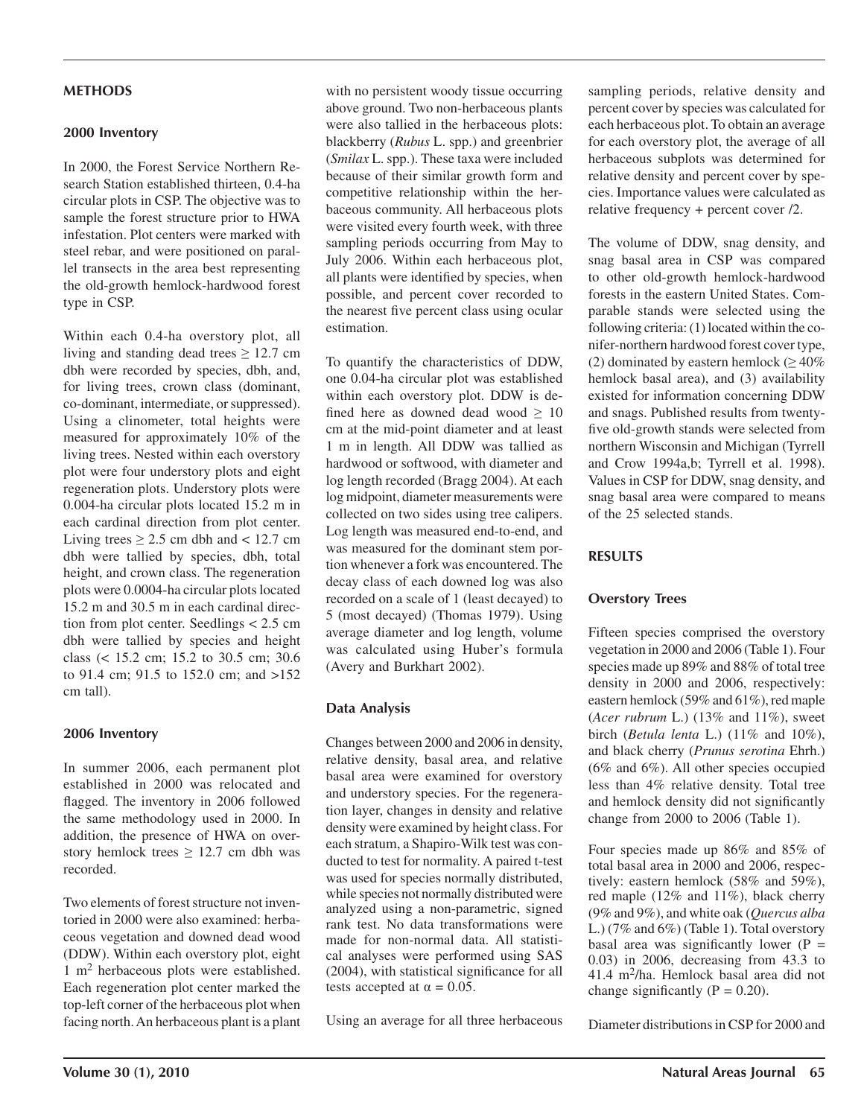#### **METHODS**

#### **2000 Inventory**

In 2000, the Forest Service Northern Research Station established thirteen, 0.4-ha circular plots in CSP. The objective was to sample the forest structure prior to HWA infestation. Plot centers were marked with steel rebar, and were positioned on parallel transects in the area best representing the old-growth hemlock-hardwood forest type in CSP.

Within each 0.4-ha overstory plot, all living and standing dead trees  $\geq 12.7$  cm dbh were recorded by species, dbh, and, for living trees, crown class (dominant, co-dominant, intermediate, or suppressed). Using a clinometer, total heights were measured for approximately 10% of the living trees. Nested within each overstory plot were four understory plots and eight regeneration plots. Understory plots were 0.004-ha circular plots located 15.2 m in each cardinal direction from plot center. Living trees  $\geq 2.5$  cm dbh and  $\lt 12.7$  cm dbh were tallied by species, dbh, total height, and crown class. The regeneration plots were 0.0004-ha circular plots located 15.2 m and 30.5 m in each cardinal direction from plot center. Seedlings < 2.5 cm dbh were tallied by species and height class (< 15.2 cm; 15.2 to 30.5 cm; 30.6 to 91.4 cm; 91.5 to 152.0 cm; and >152 cm tall).

#### **2006 Inventory**

In summer 2006, each permanent plot established in 2000 was relocated and flagged. The inventory in 2006 followed the same methodology used in 2000. In addition, the presence of HWA on overstory hemlock trees  $\geq$  12.7 cm dbh was recorded.

Two elements of forest structure not inventoried in 2000 were also examined: herbaceous vegetation and downed dead wood (DDW). Within each overstory plot, eight 1 m<sup>2</sup> herbaceous plots were established. Each regeneration plot center marked the top-left corner of the herbaceous plot when facing north.An herbaceous plant is a plant with no persistent woody tissue occurring above ground. Two non-herbaceous plants were also tallied in the herbaceous plots: blackberry (*Rubus* L. spp.) and greenbrier (*Smilax* L. spp.). These taxa were included because of their similar growth form and competitive relationship within the herbaceous community. All herbaceous plots were visited every fourth week, with three sampling periods occurring from May to July 2006. Within each herbaceous plot, all plants were identified by species, when possible, and percent cover recorded to the nearest five percent class using ocular estimation.

To quantify the characteristics of DDW, one 0.04-ha circular plot was established within each overstory plot. DDW is defined here as downed dead wood  $\geq 10$ cm at the mid-point diameter and at least 1 m in length. All DDW was tallied as hardwood or softwood, with diameter and log length recorded (Bragg 2004). At each log midpoint, diameter measurements were collected on two sides using tree calipers. Log length was measured end-to-end, and was measured for the dominant stem portion whenever a fork was encountered. The decay class of each downed log was also recorded on a scale of 1 (least decayed) to 5 (most decayed) (Thomas 1979). Using average diameter and log length, volume was calculated using Huber's formula (Avery and Burkhart 2002).

# **Data Analysis**

Changes between 2000 and 2006 in density, relative density, basal area, and relative basal area were examined for overstory and understory species. For the regeneration layer, changes in density and relative density were examined by height class. For each stratum, a Shapiro-Wilk test was conducted to test for normality. A paired t-test was used for species normally distributed, while species not normally distributed were analyzed using a non-parametric, signed rank test. No data transformations were made for non-normal data. All statistical analyses were performed using SAS (2004), with statistical significance for all tests accepted at  $\alpha = 0.05$ .

Using an average for all three herbaceous

sampling periods, relative density and percent cover by species was calculated for each herbaceous plot. To obtain an average for each overstory plot, the average of all herbaceous subplots was determined for relative density and percent cover by species. Importance values were calculated as relative frequency + percent cover /2.

The volume of DDW, snag density, and snag basal area in CSP was compared to other old-growth hemlock-hardwood forests in the eastern United States. Comparable stands were selected using the following criteria: (1) located within the conifer-northern hardwood forest cover type, (2) dominated by eastern hemlock ( $\geq 40\%$ ) hemlock basal area), and (3) availability existed for information concerning DDW and snags. Published results from twentyfive old-growth stands were selected from northern Wisconsin and Michigan (Tyrrell and Crow 1994a,b; Tyrrell et al. 1998). Values in CSP for DDW, snag density, and snag basal area were compared to means of the 25 selected stands.

# **RESULTS**

# **Overstory Trees**

Fifteen species comprised the overstory vegetation in 2000 and 2006 (Table 1). Four species made up 89% and 88% of total tree density in 2000 and 2006, respectively: eastern hemlock (59% and 61%), red maple (*Acer rubrum* L.) (13% and 11%), sweet birch (*Betula lenta* L.) (11% and 10%), and black cherry (*Prunus serotina* Ehrh.) (6% and 6%). All other species occupied less than 4% relative density. Total tree and hemlock density did not significantly change from 2000 to 2006 (Table 1).

Four species made up 86% and 85% of total basal area in 2000 and 2006, respectively: eastern hemlock (58% and 59%), red maple (12% and 11%), black cherry (9% and 9%), and white oak (*Quercus alba* L.) (7% and 6%) (Table 1). Total overstory basal area was significantly lower ( $P =$ 0.03) in 2006, decreasing from 43.3 to 41.4 m2/ha. Hemlock basal area did not change significantly  $(P = 0.20)$ .

Diameter distributions in CSP for 2000 and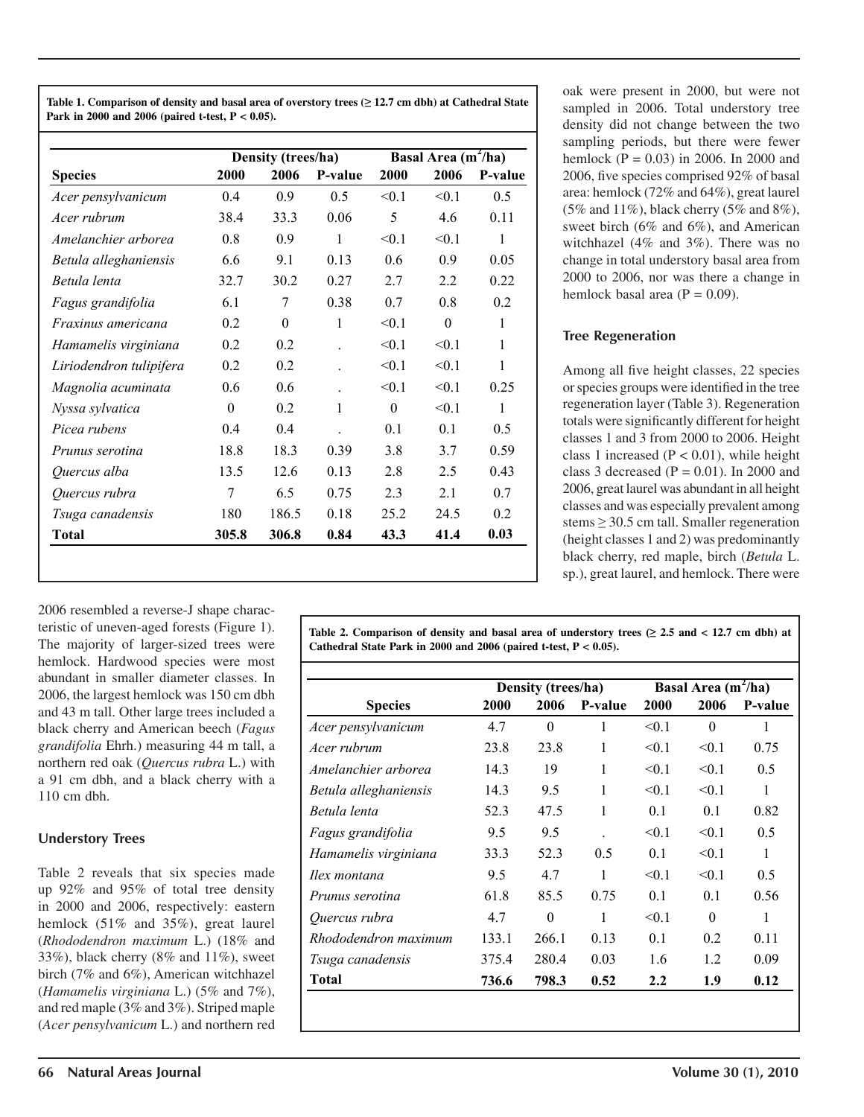**Table 1. Comparison of density and basal area of overstory trees ( 12.7 cm dbh) at Cathedral State Park in 2000 and 2006 (paired t-test, P < 0.05).**

|                           |          | Density (trees/ha) |                |                | Basal Area $(m^2/ha)$ |                |
|---------------------------|----------|--------------------|----------------|----------------|-----------------------|----------------|
| <b>Species</b>            | 2000     | 2006               | <b>P-value</b> | 2000           | 2006                  | P-value        |
| Acer pensylvanicum        | 0.4      | 0.9                | 0.5            | < 0.1          | < 0.1                 | 0.5            |
| Acer rubrum               | 38.4     | 33.3               | 0.06           | 5              | 46                    | 0.11           |
| Amelanchier arborea       | 0.8      | 0.9                | 1              | < 0.1          | < 0.1                 | 1              |
| Betula alleghaniensis     | 6.6      | 9.1                | 0.13           | 0 <sub>6</sub> | 0.9                   | 0.05           |
| Betula lenta              | 32.7     | 30.2               | 0.27           | 2.7            | 2.2                   | 0.22           |
| Fagus grandifolia         | 6.1      | 7                  | 0.38           | 0.7            | 0.8                   | 0.2            |
| <i>Fraxinus americana</i> | 0.2      | $\theta$           | $\mathbf{1}$   | < 0.1          | $\theta$              | 1              |
| Hamamelis virginiana      | 0.2      | 0.2                |                | < 0.1          | < 0.1                 | 1              |
| Liriodendron tulipifera   | 0.2      | 0.2                |                | < 0.1          | < 0.1                 | 1              |
| Magnolia acuminata        | 0.6      | 0.6                |                | < 0.1          | < 0.1                 | 0.25           |
| Nyssa sylvatica           | $\theta$ | 0.2                | 1              | $\Omega$       | < 0.1                 | 1              |
| Picea rubens              | 0.4      | 0.4                |                | 0.1            | 0.1                   | 0.5            |
| Prunus serotina           | 18.8     | 18.3               | 0.39           | 3.8            | 3.7                   | 0.59           |
| Quercus alba              | 13.5     | 12.6               | 0.13           | 2.8            | 2.5                   | 0.43           |
| Quercus rubra             | 7        | 6.5                | 0.75           | 23             | 2.1                   | 07             |
| Tsuga canadensis          | 180      | 186.5              | 0.18           | 25.2           | 24.5                  | 0 <sub>2</sub> |
| Total                     | 305.8    | 306.8              | 0.84           | 43.3           | 41.4                  | 0.03           |

oak were present in 2000, but were not sampled in 2006. Total understory tree density did not change between the two sampling periods, but there were fewer hemlock ( $P = 0.03$ ) in 2006. In 2000 and 2006, five species comprised 92% of basal area: hemlock (72% and 64%), great laurel (5% and 11%), black cherry (5% and 8%), sweet birch (6% and 6%), and American witchhazel (4% and 3%). There was no change in total understory basal area from 2000 to 2006, nor was there a change in hemlock basal area  $(P = 0.09)$ .

# **Tree Regeneration**

Among all five height classes, 22 species or species groups were identified in the tree regeneration layer (Table 3). Regeneration totals were significantly different for height classes 1 and 3 from 2000 to 2006. Height class 1 increased  $(P < 0.01)$ , while height class 3 decreased  $(P = 0.01)$ . In 2000 and 2006, great laurel was abundant in all height classes and was especially prevalent among stems  $\geq$  30.5 cm tall. Smaller regeneration (height classes 1 and 2) was predominantly black cherry, red maple, birch (*Betula* L. sp.), great laurel, and hemlock. There were

**Table 2. Comparison of density and basal area of understory trees 2.5 and < 12.7 cm dbh) at Cathedral State Park in 2000 and 2006 (paired t-test, P < 0.05).**

|                       | Density (trees/ha) |          | Basal Area $(m^2/ha)$ |         |          |         |
|-----------------------|--------------------|----------|-----------------------|---------|----------|---------|
| <b>Species</b>        | 2000               | 2006     | P-value               | 2000    | 2006     | P-value |
| Acer pensylvanicum    | 4.7                | $\Omega$ |                       | < 0.1   | $\Omega$ | 1       |
| Acer rubrum           | 23.8               | 23.8     | 1                     | < 0.1   | < 0.1    | 0.75    |
| Amelanchier arborea   | 14.3               | 19       | 1                     | < 0.1   | < 0.1    | 0.5     |
| Betula alleghaniensis | 14.3               | 9.5      | 1                     | < 0.1   | < 0.1    | 1       |
| Betula lenta          | 52.3               | 47.5     | 1                     | 0.1     | 0.1      | 0.82    |
| Fagus grandifolia     | 9.5                | 9.5      |                       | < 0.1   | < 0.1    | 0.5     |
| Hamamelis virginiana  | 33.3               | 52.3     | 0.5                   | 0.1     | < 0.1    | 1       |
| Ilex montana          | 9.5                | 4.7      |                       | < 0.1   | < 0.1    | 0.5     |
| Prunus serotina       | 61.8               | 85.5     | 0.75                  | 0.1     | 0.1      | 0.56    |
| Quercus rubra         | 4.7                | $\theta$ | 1                     | < 0.1   | $\theta$ | 1       |
| Rhododendron maximum  | 133.1              | 266.1    | 0.13                  | 0.1     | 0.2      | 0.11    |
| Tsuga canadensis      | 375.4              | 280.4    | 0.03                  | 1.6     | 1.2      | 0.09    |
| <b>Total</b>          | 736.6              | 798.3    | 0.52                  | $2.2\,$ | 1.9      | 0.12    |

2006 resembled a reverse-J shape characteristic of uneven-aged forests (Figure 1). The majority of larger-sized trees were hemlock. Hardwood species were most abundant in smaller diameter classes. In 2006, the largest hemlock was 150 cm dbh and 43 m tall. Other large trees included a black cherry and American beech (*Fagus grandifolia* Ehrh.) measuring 44 m tall, a northern red oak (*Quercus rubra* L.) with a 91 cm dbh, and a black cherry with a

# **Understory Trees**

110 cm dbh.

Table 2 reveals that six species made up 92% and 95% of total tree density in 2000 and 2006, respectively: eastern hemlock (51% and 35%), great laurel (*Rhododendron maximum* L.) (18% and 33%), black cherry (8% and 11%), sweet birch (7% and 6%), American witchhazel (*Hamamelis virginiana* L.) (5% and 7%), and red maple (3% and 3%). Striped maple (*Acer pensylvanicum* L.) and northern red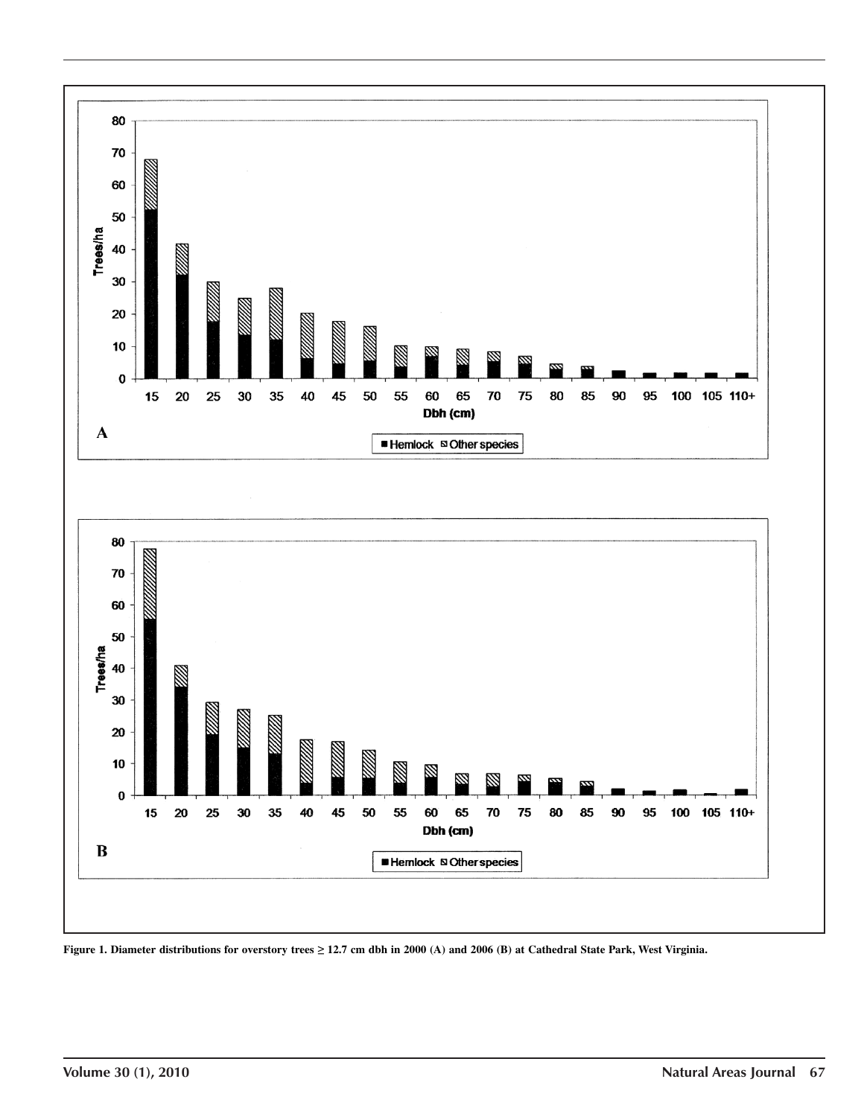

**Figure 1. Diameter distributions for overstory trees 12.7 cm dbh in 2000 (A) and 2006 (B) at Cathedral State Park, West Virginia.**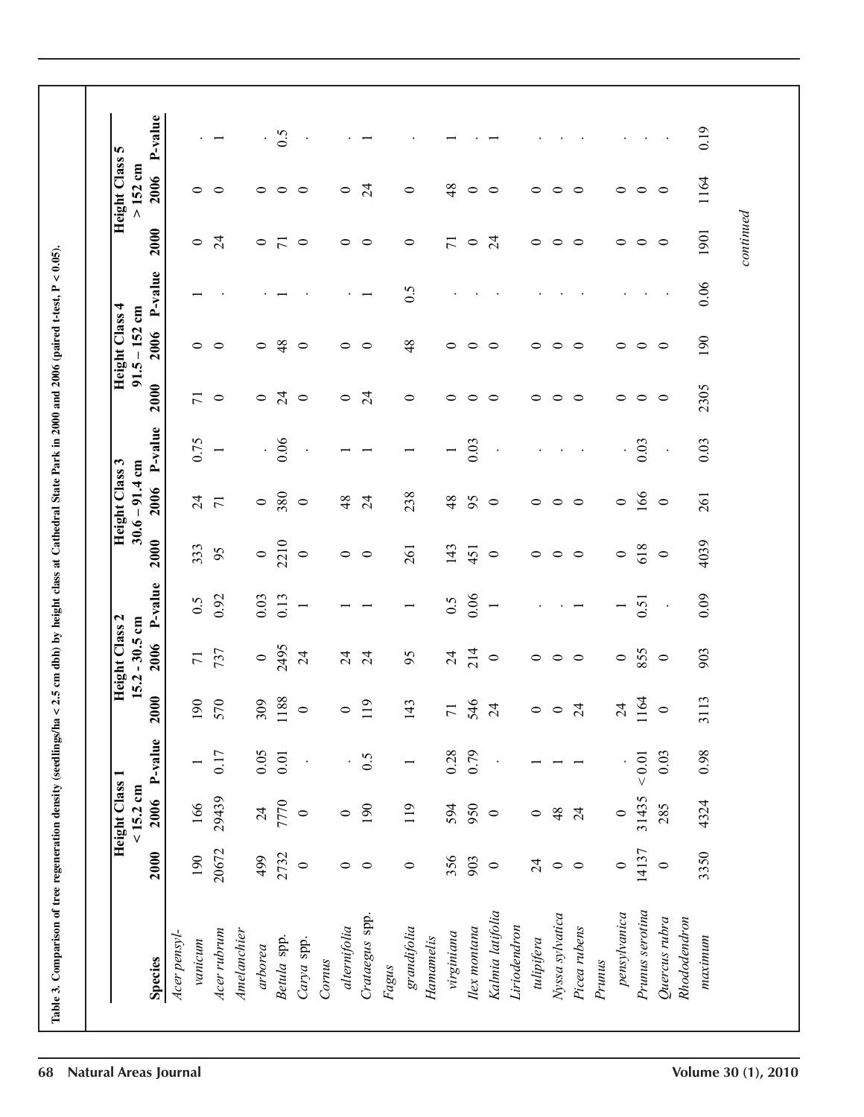|                               |                 | Height Class 1<br>$<15.2$ cm |                      |                                 | Height Class 2<br>$15.2 - 30.5$ cm |                          |         | Height Class 3<br>$30.6 - 91.4$ cm |                          |                 | Height Class 4<br>$91.5 - 152$ cm |                    |                 | Height Class 5<br>$>152 \text{ cm}$ |                   |
|-------------------------------|-----------------|------------------------------|----------------------|---------------------------------|------------------------------------|--------------------------|---------|------------------------------------|--------------------------|-----------------|-----------------------------------|--------------------|-----------------|-------------------------------------|-------------------|
| <b>Species</b>                | 2000            | 2006                         | P-value              | 2000                            | 2006                               | P-value                  | 2000    | 2006                               | P-value                  | 2000            | 2006                              | P-value            | 2000            | 2006                                | P-value           |
| Acer pensyl-                  |                 |                              |                      |                                 |                                    |                          |         |                                    |                          |                 |                                   |                    |                 |                                     |                   |
| vanicum                       | 190             | 166                          |                      | 190                             | $\overline{7}1$                    | 0.5                      | 333     | $\overline{5}$                     | 0.75                     | $\overline{71}$ | $\circ$                           |                    | $\circ$         | $\circ$                             |                   |
| Acer rubrum                   | 20672           | 29439                        | 0.17                 | 570                             | 737                                | 0.92                     | 95      | $\overline{7}$                     | $\overline{\phantom{0}}$ | $\circ$         | $\circ$                           |                    | $\overline{24}$ | $\circ$                             |                   |
| Amelanchier                   |                 |                              |                      |                                 |                                    |                          |         |                                    |                          |                 |                                   |                    |                 |                                     |                   |
| arborea                       | 499             | 24                           | 0.05                 | 309                             | $\circ$                            | 0.03                     | $\circ$ | $\circ$                            |                          | $\circ$         | $\circ$                           |                    | $\circ$         | ᅌ                                   | $\bullet$         |
| Betula spp.                   | 2732            | 7770                         | 0.01                 | 1188                            | 2495                               | 0.13                     | 2210    | 380                                | 0.06                     | $\overline{24}$ | 48                                |                    | $\overline{7}$  | $\circ$                             | $\widetilde{0.5}$ |
| Carya spp.                    | $\circ$         | $\circ$                      | $\ddot{\phantom{0}}$ | $\circ$                         | $\overline{24}$                    | $\overline{\phantom{0}}$ | $\circ$ | $\circ$                            | $\cdot$                  | $\circ$         | $\circ$                           |                    | $\circ$         | $\circ$                             |                   |
| Cornus                        |                 |                              |                      |                                 |                                    |                          |         |                                    |                          |                 |                                   |                    |                 |                                     |                   |
| alternifolia                  | $\circ$         | $\circ$                      |                      | $\circ$                         | $\overline{24}$                    |                          | $\circ$ | 48                                 |                          | $\circ$         | ᅌ                                 |                    | $\circ$         | $\circ$                             |                   |
| Crataegus spp.                | $\circ$         | 190                          | 0.5                  | 119                             | $\overline{24}$                    |                          | $\circ$ | $\overline{24}$                    |                          | $\overline{24}$ | $\circ$                           |                    | $\circ$         | $\overline{24}$                     |                   |
| Fagus                         |                 |                              |                      |                                 |                                    |                          |         |                                    |                          |                 |                                   |                    |                 |                                     |                   |
| grandifolia<br>Hamamelis      | $\circ$         | 119                          |                      | 143                             | 95                                 | $\overline{\phantom{0}}$ | 261     | 238                                |                          | $\circ$         | 48                                | $\widetilde{0}$ .5 | $\circ$         | $\circ$                             |                   |
| virginiana                    | 356             | 594                          | 0.28                 | $\overline{7}1$                 | 24                                 | 6.5                      | 143     | 48                                 |                          | $\circ$         | 0                                 |                    | $\overline{7}$  | 48                                  |                   |
|                               |                 |                              | 0.79                 |                                 |                                    |                          | 451     |                                    |                          |                 |                                   |                    |                 |                                     |                   |
| Ilex montana                  | 903             | 950                          |                      | 546                             | 214                                | 0.06                     |         | 95                                 | 0.03                     | ᅌ               | ᅌ                                 |                    | $\circ$         | $\circ$                             |                   |
| Kalmia latifolia              | $\circ$         | $\circ$                      | $\ddot{\phantom{0}}$ | $\overline{24}$                 | $\circ$                            | $\overline{\phantom{0}}$ | $\circ$ | $\circ$                            |                          | $\circ$         | $\circ$                           |                    | $\overline{24}$ | $\circ$                             |                   |
| Liriodendron                  |                 |                              |                      |                                 |                                    |                          |         |                                    |                          |                 |                                   |                    |                 |                                     |                   |
| tulipifera                    | $\overline{24}$ | $\circ$                      |                      | $\circ$                         | $\circ$                            |                          | $\circ$ | $\circ$                            |                          | ᅌ               | 0                                 |                    | $\circ$         | 0                                   |                   |
| Nyssa sylvatica               | $\circ$         | 48                           |                      | $\circ$                         | $\circ$                            |                          | $\circ$ | $\circ$                            |                          | $\circ$         | $\circ$                           |                    | $\circ$         | 0                                   |                   |
| Picea rubens                  | $\circ$         | $\overline{24}$              |                      | $\overline{24}$                 | $\circ$                            |                          | $\circ$ | $\circ$                            |                          | $\circ$         | $\circ$                           |                    | $\circ$         | $\circ$                             |                   |
| Prunus                        |                 |                              |                      |                                 |                                    |                          |         |                                    |                          |                 |                                   |                    |                 |                                     |                   |
| pensylvanica                  | $\circ$         | $\circ$                      |                      | $\overline{24}$                 | $\circ$                            |                          | $\circ$ | $\circ$                            |                          | $\circ$         | ᅌ                                 |                    | $\circ$         | $\circ$                             |                   |
| Prunus serotina               | 14137           | 31435                        | $< 0.01$             | 164<br>$\overline{\phantom{0}}$ | 855                                | 0.51                     | 618     | 166                                | 0.03                     | $\circ$         | $\circ$                           | $\cdot$            | $\circ$         | $\circ$                             |                   |
| Rhododendron<br>Quercus rubra | $\circ$         | 285                          | 0.03                 | $\circ$                         | $\circ$                            | $\cdot$                  | $\circ$ | $\circ$                            | $\ddot{\phantom{0}}$     | $\circ$         | $\circ$                           |                    | $\circ$         | $\circ$                             |                   |
| maximum                       | 3350            | 4324                         | 0.98                 | 113<br>$\omega$                 | 903                                | 0.09                     | 4039    | 261                                | 0.03                     | 2305            | 190                               | 0.06               | 1901            | 1164                                | 0.19              |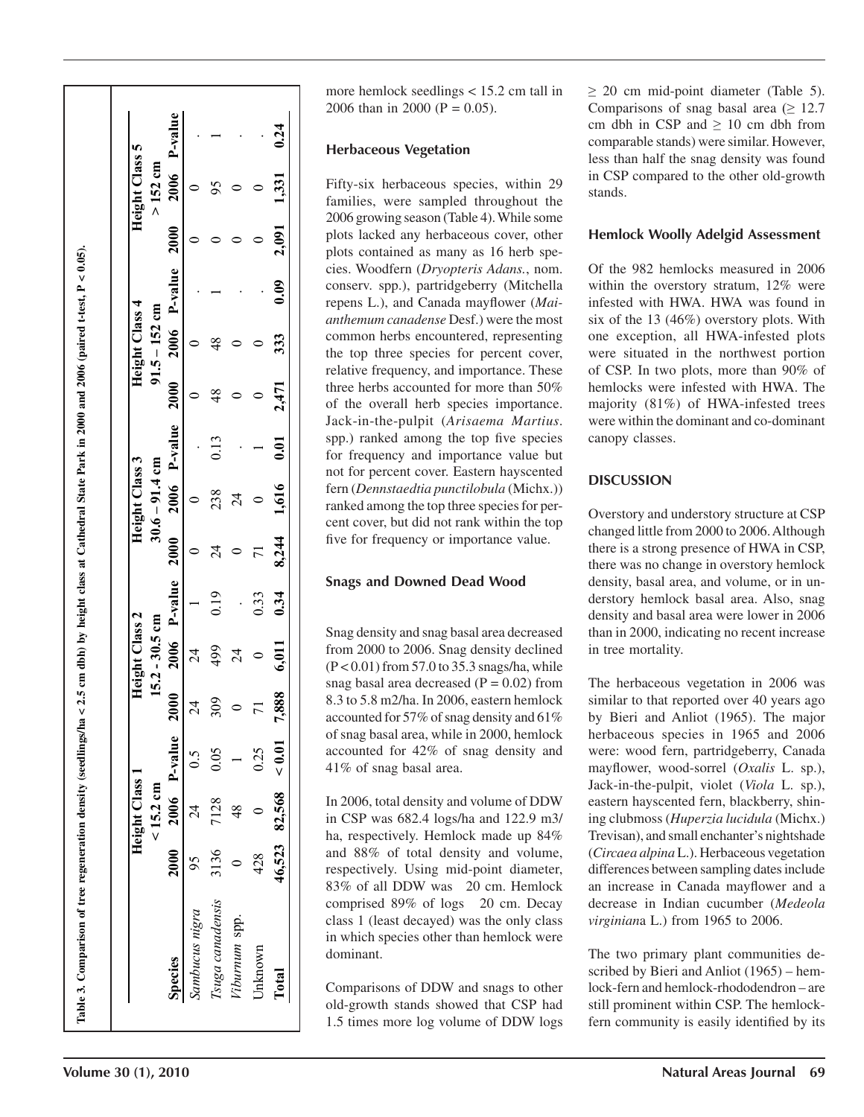|                                                                                                   |                     |                    |                |                           |                  |                 |         |             | more hemlock seedlings $< 15.2$ cm tall in<br>2006 than in 2000 (P = 0.05).                                                                                               | $\geq$ 20 cm mid-point diameter (Table 5).<br>Comparisons of snag basal area ( $\geq 12.7$<br>cm dbh in CSP and $\geq$ 10 cm dbh from                                   |
|---------------------------------------------------------------------------------------------------|---------------------|--------------------|----------------|---------------------------|------------------|-----------------|---------|-------------|---------------------------------------------------------------------------------------------------------------------------------------------------------------------------|-------------------------------------------------------------------------------------------------------------------------------------------------------------------------|
|                                                                                                   | n                   |                    | P-value        |                           |                  |                 |         | 0.24        | <b>Herbaceous Vegetation</b>                                                                                                                                              | comparable stands) were similar. However,<br>less than half the snag density was found                                                                                  |
|                                                                                                   | Height Class        | $>152 \text{ cm}$  | 2006           | $\circ$                   |                  |                 |         | 1,331       | Fifty-six herbaceous species, within 29<br>families, were sampled throughout the                                                                                          | in CSP compared to the other old-growth<br>stands.                                                                                                                      |
|                                                                                                   |                     |                    | 2000           |                           |                  |                 |         | 2,091       | 2006 growing season (Table 4). While some<br>plots lacked any herbaceous cover, other<br>plots contained as many as 16 herb spe-                                          | <b>Hemlock Woolly Adelgid Assessment</b>                                                                                                                                |
| < 2.5 cm dbh) by height class at Cathedral State Park in 2000 and 2006 (paired t-test, P < 0.05). |                     |                    | P-value        |                           |                  |                 |         | 0.09        | cies. Woodfern (Dryopteris Adans., nom.<br>conserv. spp.), partridgeberry (Mitchella<br>repens L.), and Canada mayflower (Mai-<br>anthemum canadense Desf.) were the most | Of the 982 hemlocks measured in 2006<br>within the overstory stratum, 12% were<br>infested with HWA. HWA was found in<br>six of the 13 $(46%)$ overstory plots. With    |
|                                                                                                   | Height Class        | 152 cm             | 2006           |                           |                  |                 |         | 333         | common herbs encountered, representing<br>the top three species for percent cover,                                                                                        | one exception, all HWA-infested plots<br>were situated in the northwest portion                                                                                         |
|                                                                                                   |                     | 91.5               | 2000           | $\circ$                   |                  |                 |         | 2,471       | relative frequency, and importance. These<br>three herbs accounted for more than 50%<br>of the overall herb species importance.<br>Jack-in-the-pulpit (Arisaema Martius.  | of CSP. In two plots, more than 90% of<br>hemlocks were infested with HWA. The<br>majority (81%) of HWA-infested trees<br>were within the dominant and co-dominant      |
|                                                                                                   |                     |                    | P-value        |                           | $\frac{1}{2}$    |                 |         | 0.01        | spp.) ranked among the top five species<br>for frequency and importance value but<br>not for percent cover. Eastern hayscented                                            | canopy classes.                                                                                                                                                         |
|                                                                                                   | Height Class 3      | $-91.4 \text{ cm}$ | 2006           | $\circ$                   | 238              | $\overline{24}$ |         | 1,616       | fern (Dennstaedtia punctilobula (Michx.))<br>ranked among the top three species for per-<br>cent cover, but did not rank within the top                                   | <b>DISCUSSION</b><br>Overstory and understory structure at CSP                                                                                                          |
|                                                                                                   |                     | 30.6               | 2000           | $\circ$                   |                  |                 |         | 8,244       | five for frequency or importance value.                                                                                                                                   | changed little from 2000 to 2006. Although<br>there is a strong presence of HWA in CSP,<br>there was no change in overstory hemlock                                     |
|                                                                                                   |                     |                    | P-value        |                           |                  |                 | 0.33    | 0.34        | <b>Snags and Downed Dead Wood</b>                                                                                                                                         | density, basal area, and volume, or in un-<br>derstory hemlock basal area. Also, snag<br>density and basal area were lower in 2006                                      |
|                                                                                                   | Height Class 2      | $-30.5 \text{ cm}$ | 2006           | $\overline{54}$           | 499              | $\mathbb{Z}^4$  | $\circ$ | 6,011       | Snag density and snag basal area decreased<br>from 2000 to 2006. Snag density declined<br>$(P<0.01)$ from 57.0 to 35.3 snags/ha, while                                    | than in 2000, indicating no recent increase<br>in tree mortality.                                                                                                       |
|                                                                                                   |                     | 5.2                | 2000           |                           | $\mathfrak{g}_0$ |                 |         | 888<br>r.   | snag basal area decreased ( $P = 0.02$ ) from<br>8.3 to 5.8 m2/ha. In 2006, eastern hemlock<br>accounted for 57% of snag density and 61%                                  | The herbaceous vegetation in 2006 was<br>similar to that reported over 40 years ago<br>by Bieri and Anliot (1965). The major                                            |
|                                                                                                   |                     |                    | P-value        | $\widetilde{\mathcal{C}}$ | 0.05             |                 | 0.25    | ${}_{0.01}$ | of snag basal area, while in 2000, hemlock<br>accounted for 42% of snag density and<br>41% of snag basal area.                                                            | herbaceous species in 1965 and 2006<br>were: wood fern, partridgeberry, Canada<br>mayflower, wood-sorrel (Oxalis L. sp.),<br>Jack-in-the-pulpit, violet (Viola L. sp.), |
|                                                                                                   | <b>Height Class</b> | $< 15.2$ cm        | 2006           | $\overline{24}$           | 128              | $\frac{8}{3}$   | $\circ$ | 82,568      | In 2006, total density and volume of DDW<br>in CSP was 682.4 logs/ha and 122.9 m3/<br>ha, respectively. Hemlock made up 84%                                               | eastern hayscented fern, blackberry, shin-<br>ing clubmoss (Huperzia lucidula (Michx.)<br>Trevisan), and small enchanter's nightshade                                   |
|                                                                                                   |                     |                    | 2000           |                           | 3136             | 0               | 428     | 46,523      | and 88% of total density and volume,<br>respectively. Using mid-point diameter,<br>83% of all DDW was 20 cm. Hemlock                                                      | (Circaea alpina L.). Herbaceous vegetation<br>differences between sampling dates include<br>an increase in Canada mayflower and a                                       |
| Table 3. Comparison of tree regeneration density (seedlings/ha                                    |                     |                    |                | Sambucus nigra            | Tsuga canadensis | Viburnum spp    | Unknown |             | comprised 89% of logs 20 cm. Decay<br>class 1 (least decayed) was the only class<br>in which species other than hemlock were<br>dominant.                                 | decrease in Indian cucumber (Medeola<br>virginiana L.) from 1965 to 2006.<br>The two primary plant communities de-<br>scribed by Bieri and Anliot (1965) - hem-         |
|                                                                                                   |                     |                    | <b>Species</b> |                           |                  |                 |         | Total       | Comparisons of DDW and snags to other<br>old-growth stands showed that CSP had<br>1.5 times more log volume of DDW logs                                                   | lock-fern and hemlock-rhododendron-are<br>still prominent within CSP. The hemlock-<br>fern community is easily identified by its                                        |
| Volume 30 (1), 2010                                                                               |                     |                    |                |                           |                  |                 |         |             |                                                                                                                                                                           | Natural Areas Journal 69                                                                                                                                                |

#### **Herbaceous Vegetation**

# **Snags and Downed Dead Wood**

# **Hemlock Woolly Adelgid Assessment**

# **DISCUSSION**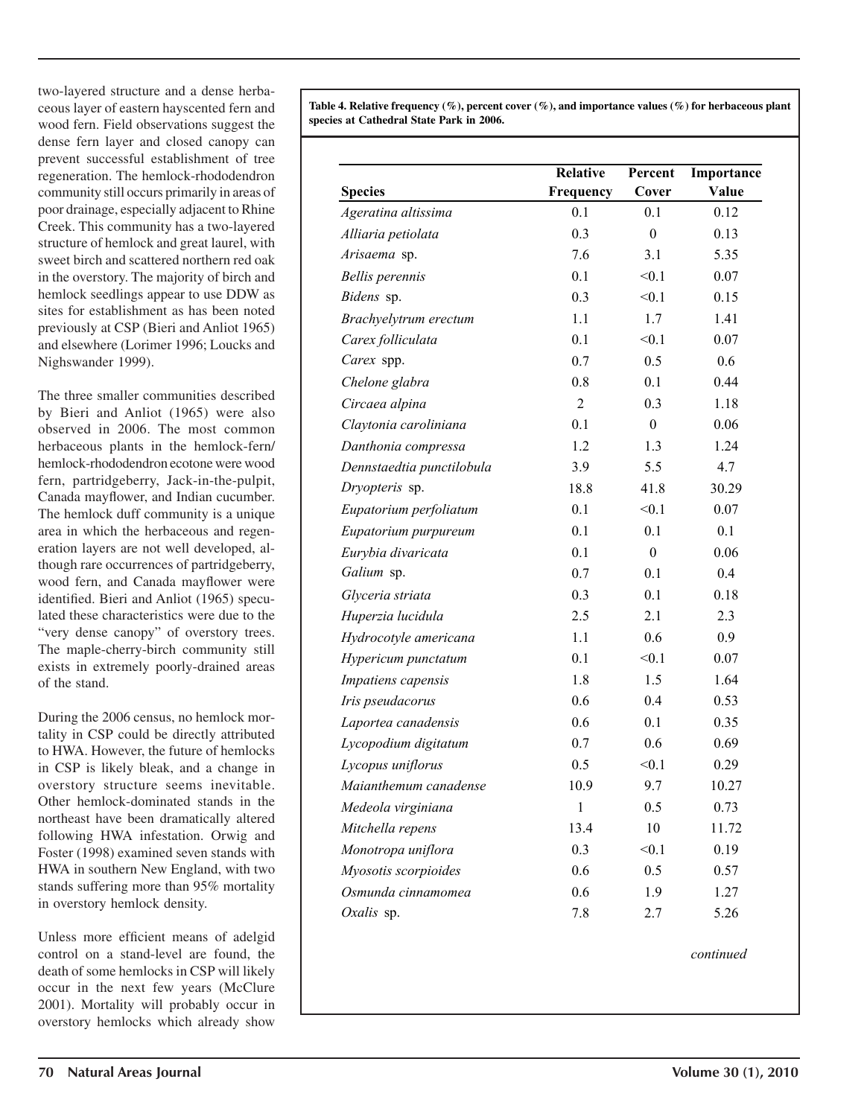two-layered structure and a dense herbaceous layer of eastern hayscented fern and wood fern. Field observations suggest the dense fern layer and closed canopy can prevent successful establishment of tree regeneration. The hemlock-rhododendron community still occurs primarily in areas of poor drainage, especially adjacent to Rhine Creek. This community has a two-layered structure of hemlock and great laurel, with sweet birch and scattered northern red oak in the overstory. The majority of birch and hemlock seedlings appear to use DDW as sites for establishment as has been noted previously at CSP (Bieri and Anliot 1965) and elsewhere (Lorimer 1996; Loucks and Nighswander 1999).

The three smaller communities described by Bieri and Anliot (1965) were also observed in 2006. The most common herbaceous plants in the hemlock-fern/ hemlock-rhododendron ecotone were wood fern, partridgeberry, Jack-in-the-pulpit, Canada mayflower, and Indian cucumber. The hemlock duff community is a unique area in which the herbaceous and regeneration layers are not well developed, although rare occurrences of partridgeberry, wood fern, and Canada mayflower were identified. Bieri and Anliot (1965) speculated these characteristics were due to the "very dense canopy" of overstory trees. The maple-cherry-birch community still exists in extremely poorly-drained areas of the stand.

During the 2006 census, no hemlock mortality in CSP could be directly attributed to HWA. However, the future of hemlocks in CSP is likely bleak, and a change in overstory structure seems inevitable. Other hemlock-dominated stands in the northeast have been dramatically altered following HWA infestation. Orwig and Foster (1998) examined seven stands with HWA in southern New England, with two stands suffering more than 95% mortality in overstory hemlock density.

Unless more efficient means of adelgid control on a stand-level are found, the death of some hemlocks in CSP will likely occur in the next few years (McClure 2001). Mortality will probably occur in overstory hemlocks which already show

**Table 4. Relative frequency (%), percent cover (%), and importance values (%) for herbaceous plant species at Cathedral State Park in 2006.**

|                           | <b>Relative</b> | Percent          | Importance |
|---------------------------|-----------------|------------------|------------|
| <b>Species</b>            | Frequency       | Cover            | Value      |
| Ageratina altissima       | 0.1             | 0.1              | 0.12       |
| Alliaria petiolata        | 0.3             | $\overline{0}$   | 0.13       |
| Arisaema sp.              | 7.6             | 3.1              | 5.35       |
| <b>Bellis</b> perennis    | 0.1             | < 0.1            | 0.07       |
| Bidens sp.                | 0.3             | < 0.1            | 0.15       |
| Brachyelytrum erectum     | 1.1             | 1.7              | 1.41       |
| Carex folliculata         | 0.1             | < 0.1            | 0.07       |
| Carex spp.                | 0.7             | 0.5              | 0.6        |
| Chelone glabra            | 0.8             | 0.1              | 0.44       |
| Circaea alpina            | $\overline{2}$  | 0.3              | 1.18       |
| Claytonia caroliniana     | 0.1             | $\boldsymbol{0}$ | 0.06       |
| Danthonia compressa       | 1.2             | 1.3              | 1.24       |
| Dennstaedtia punctilobula | 3.9             | 5.5              | 4.7        |
| Dryopteris sp.            | 18.8            | 41.8             | 30.29      |
| Eupatorium perfoliatum    | 0.1             | < 0.1            | 0.07       |
| Eupatorium purpureum      | 0.1             | 0.1              | 0.1        |
| Eurybia divaricata        | 0.1             | $\boldsymbol{0}$ | 0.06       |
| Galium sp.                | 0.7             | 0.1              | 0.4        |
| Glyceria striata          | 0.3             | 0.1              | 0.18       |
| Huperzia lucidula         | 2.5             | 2.1              | 2.3        |
| Hydrocotyle americana     | 1.1             | 0.6              | 0.9        |
| Hypericum punctatum       | 0.1             | < 0.1            | 0.07       |
| Impatiens capensis        | 1.8             | 1.5              | 1.64       |
| Iris pseudacorus          | 0.6             | 0.4              | 0.53       |
| Laportea canadensis       | 0.6             | 0.1              | 0.35       |
| Lycopodium digitatum      | 0.7             | 0.6              | 0.69       |
| Lycopus uniflorus         | 0.5             | < 0.1            | 0.29       |
| Maianthemum canadense     | 10.9            | 9.7              | 10.27      |
| Medeola virginiana        | 1               | 0.5              | 0.73       |
| Mitchella repens          | 13.4            | 10               | 11.72      |
| Monotropa uniflora        | 0.3             | < 0.1            | 0.19       |
| Myosotis scorpioides      | 0.6             | 0.5              | 0.57       |
| Osmunda cinnamomea        | 0.6             | 1.9              | 1.27       |
| Oxalis sp.                | 7.8             | 2.7              | 5.26       |

*continued*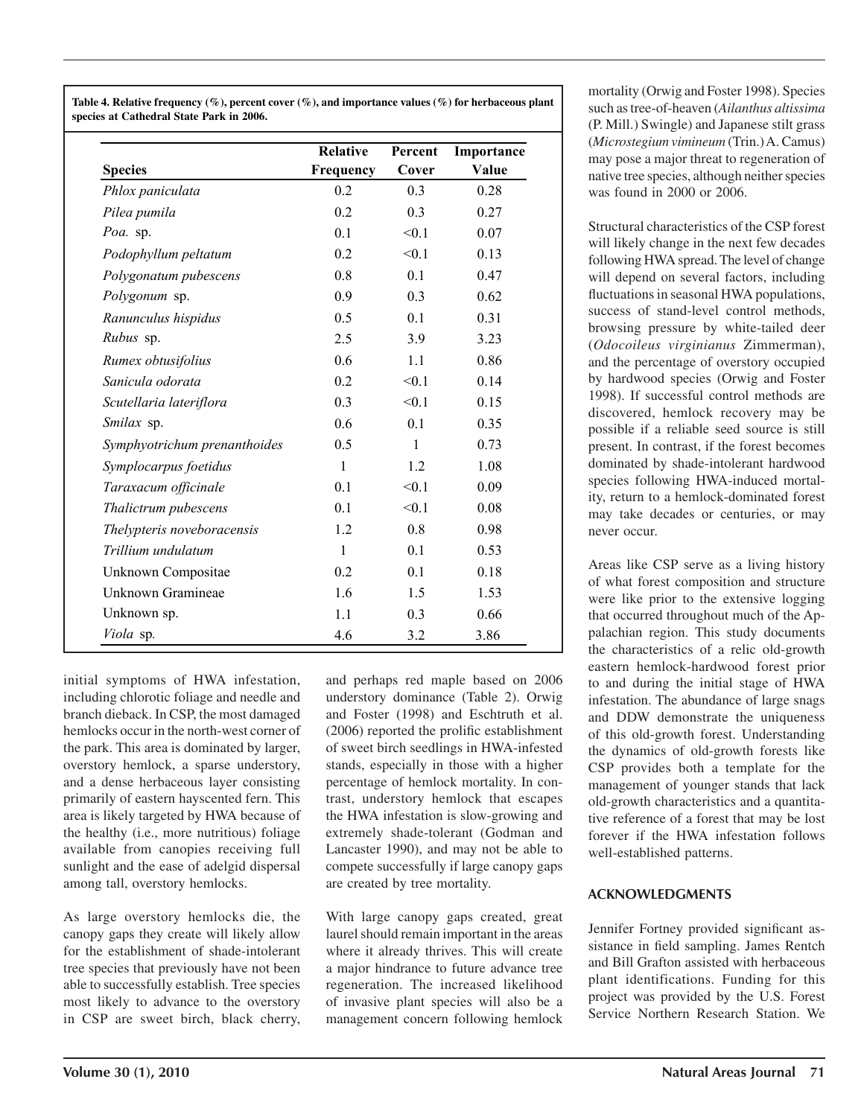**Table 4. Relative frequency (%), percent cover (%), and importance values (%) for herbaceous plant species at Cathedral State Park in 2006.**

|                              | <b>Relative</b> | Percent      | Importance |
|------------------------------|-----------------|--------------|------------|
| <b>Species</b>               | Frequency       | Cover        | Value      |
| Phlox paniculata             | 0.2             | 0.3          | 0.28       |
| Pilea pumila                 | 0.2             | 0.3          | 0.27       |
| Poa. sp.                     | 0.1             | < 0.1        | 0.07       |
| Podophyllum peltatum         | 0.2             | < 0.1        | 0.13       |
| Polygonatum pubescens        | 0.8             | 0.1          | 0.47       |
| Polygonum sp.                | 0.9             | 0.3          | 0.62       |
| Ranunculus hispidus          | 0.5             | 0.1          | 0.31       |
| Rubus sp.                    | 2.5             | 3.9          | 3.23       |
| Rumex obtusifolius           | 0.6             | 1.1          | 0.86       |
| Sanicula odorata             | 0.2             | < 0.1        | 0.14       |
| Scutellaria lateriflora      | 0.3             | < 0.1        | 0.15       |
| Smilax sp.                   | 0.6             | 0.1          | 0.35       |
| Symphyotrichum prenanthoides | 0.5             | $\mathbf{1}$ | 0.73       |
| Symplocarpus foetidus        | $\mathbf{1}$    | 1.2          | 1.08       |
| Taraxacum officinale         | 0.1             | < 0.1        | 0.09       |
| Thalictrum pubescens         | 0.1             | < 0.1        | 0.08       |
| Thelypteris noveboracensis   | 1.2             | 0.8          | 0.98       |
| Trillium undulatum           | $\mathbf{1}$    | 0.1          | 0.53       |
| Unknown Compositae           | 0.2             | 0.1          | 0.18       |
| Unknown Gramineae            | 1.6             | 1.5          | 1.53       |
| Unknown sp.                  | 1.1             | 0.3          | 0.66       |
| Viola sp.                    | 4.6             | 3.2          | 3.86       |

initial symptoms of HWA infestation, including chlorotic foliage and needle and branch dieback. In CSP, the most damaged hemlocks occur in the north-west corner of the park. This area is dominated by larger, overstory hemlock, a sparse understory, and a dense herbaceous layer consisting primarily of eastern hayscented fern. This area is likely targeted by HWA because of the healthy (i.e., more nutritious) foliage available from canopies receiving full sunlight and the ease of adelgid dispersal among tall, overstory hemlocks.

As large overstory hemlocks die, the canopy gaps they create will likely allow for the establishment of shade-intolerant tree species that previously have not been able to successfully establish. Tree species most likely to advance to the overstory in CSP are sweet birch, black cherry, and perhaps red maple based on 2006 understory dominance (Table 2). Orwig and Foster (1998) and Eschtruth et al. (2006) reported the prolific establishment of sweet birch seedlings in HWA-infested stands, especially in those with a higher percentage of hemlock mortality. In contrast, understory hemlock that escapes the HWA infestation is slow-growing and extremely shade-tolerant (Godman and Lancaster 1990), and may not be able to compete successfully if large canopy gaps are created by tree mortality.

With large canopy gaps created, great laurel should remain important in the areas where it already thrives. This will create a major hindrance to future advance tree regeneration. The increased likelihood of invasive plant species will also be a management concern following hemlock mortality (Orwig and Foster 1998). Species such as tree-of-heaven (*Ailanthus altissima* (P. Mill.) Swingle) and Japanese stilt grass (*Microstegium vimineum* (Trin.)A. Camus) may pose a major threat to regeneration of native tree species, although neither species was found in 2000 or 2006.

Structural characteristics of the CSP forest will likely change in the next few decades following HWA spread. The level of change will depend on several factors, including fluctuations in seasonal HWA populations, success of stand-level control methods, browsing pressure by white-tailed deer (*Odocoileus virginianus* Zimmerman), and the percentage of overstory occupied by hardwood species (Orwig and Foster 1998). If successful control methods are discovered, hemlock recovery may be possible if a reliable seed source is still present. In contrast, if the forest becomes dominated by shade-intolerant hardwood species following HWA-induced mortality, return to a hemlock-dominated forest may take decades or centuries, or may never occur.

Areas like CSP serve as a living history of what forest composition and structure were like prior to the extensive logging that occurred throughout much of the Appalachian region. This study documents the characteristics of a relic old-growth eastern hemlock-hardwood forest prior to and during the initial stage of HWA infestation. The abundance of large snags and DDW demonstrate the uniqueness of this old-growth forest. Understanding the dynamics of old-growth forests like CSP provides both a template for the management of younger stands that lack old-growth characteristics and a quantitative reference of a forest that may be lost forever if the HWA infestation follows well-established patterns.

# **ACKNOWLEDGMENTS**

Jennifer Fortney provided significant assistance in field sampling. James Rentch and Bill Grafton assisted with herbaceous plant identifications. Funding for this project was provided by the U.S. Forest Service Northern Research Station. We